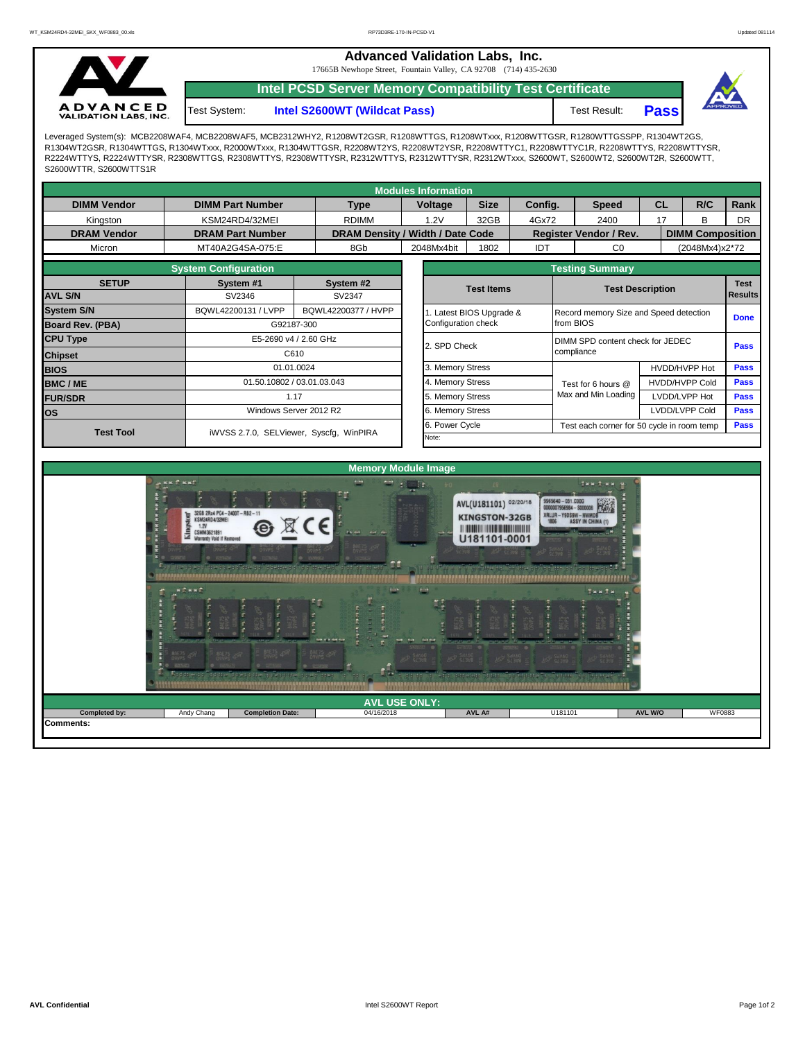**Advanced Validation Labs, Inc.** 

17665B Newhope Street, Fountain Valley, CA 92708 (714) 435-2630



Test System:

**Intel PCSD Server Memory Compatibility Test Certificate**

**Intel S2600WT (Wildcat Pass)** Test Result: **Pass** 



Leveraged System(s): MCB2208WAF4, MCB2208WAF5, MCB2312WHY2, R1208WT2GSR, R1208WTTGS, R1208WTxxx, R1208WTTGSR, R1280WTTGSSPP, R1304WT2GS, R1304WT2GSR, R1304WTTGS, R1304WTxxx, R2000WTxxx, R1304WTTGSR, R2208WT2YS, R2208WT2YSR, R2208WTTYC1, R2208WTTYC1R, R2208WTTYS, R2208WTTYSR, R2224WTTYS, R2224WTTYSR, R2308WTTGS, R2308WTTYS, R2308WTTYSR, R2312WTTYS, R2312WTTYSR, R2312WTxxx, S2600WT, S2600WT2, S2600WT2R, S2600WTT, S2600WTTR, S2600WTTS1R

|                         |                             |                                            |                                                  | <b>Modules Information</b> |                       |         |                               |                                                    |                         |                       |             |  |  |
|-------------------------|-----------------------------|--------------------------------------------|--------------------------------------------------|----------------------------|-----------------------|---------|-------------------------------|----------------------------------------------------|-------------------------|-----------------------|-------------|--|--|
| <b>DIMM Vendor</b>      | <b>DIMM Part Number</b>     | <b>Type</b>                                |                                                  | Voltage                    | <b>Size</b>           | Config. |                               | <b>Speed</b>                                       | CL                      | R/C                   | Rank        |  |  |
| Kingston                | KSM24RD4/32MEI              | <b>RDIMM</b>                               |                                                  | 1.2V                       | 32GB                  | 4Gx72   |                               | 2400<br>17                                         |                         | R.                    | <b>DR</b>   |  |  |
| <b>DRAM Vendor</b>      | <b>DRAM Part Number</b>     | DRAM Density / Width / Date Code           |                                                  |                            |                       |         | <b>Register Vendor / Rev.</b> |                                                    | <b>DIMM Composition</b> |                       |             |  |  |
| Micron                  | MT40A2G4SA-075:E            | 8Gb                                        |                                                  | 2048Mx4bit                 | 1802                  | IDT     |                               | CO                                                 |                         | (2048Mx4)x2*72        |             |  |  |
|                         | <b>System Configuration</b> |                                            |                                                  |                            |                       |         | <b>Testing Summary</b>        |                                                    |                         |                       |             |  |  |
| <b>SETUP</b>            | System #1                   | System #2                                  |                                                  | <b>Test Items</b>          |                       |         | <b>Test Description</b>       |                                                    |                         |                       | <b>Test</b> |  |  |
| <b>AVL S/N</b>          | SV2346                      | SV2347                                     |                                                  |                            |                       |         | <b>Results</b>                |                                                    |                         |                       |             |  |  |
| <b>System S/N</b>       | BQWL42200131 / LVPP         | BQWL42200377 / HVPP                        |                                                  |                            | Latest BIOS Upgrade & |         |                               | Record memory Size and Speed detection             |                         |                       |             |  |  |
| <b>Board Rev. (PBA)</b> |                             | G92187-300                                 |                                                  |                            |                       |         | from BIOS                     |                                                    |                         |                       | <b>Done</b> |  |  |
| <b>CPU Type</b>         | E5-2690 v4 / 2.60 GHz       |                                            | DIMM SPD content check for JEDEC<br>2. SPD Check |                            |                       |         |                               |                                                    | <b>Pass</b>             |                       |             |  |  |
| <b>Chipset</b>          |                             | C610                                       |                                                  |                            |                       |         | compliance                    |                                                    |                         |                       |             |  |  |
| <b>BIOS</b>             |                             | 01.01.0024                                 |                                                  | 3. Memory Stress           |                       |         |                               |                                                    | HVDD/HVPP Hot           |                       | <b>Pass</b> |  |  |
| <b>BMC/ME</b>           |                             | 01.50.10802 / 03.01.03.043                 |                                                  | 4. Memory Stress           |                       |         |                               | Test for 6 hours @                                 |                         | <b>HVDD/HVPP Cold</b> |             |  |  |
| <b>FUR/SDR</b>          | 1.17                        |                                            |                                                  |                            | 5. Memory Stress      |         |                               | Max and Min Loading                                |                         | LVDD/LVPP Hot         | <b>Pass</b> |  |  |
| <b>los</b>              |                             | Windows Server 2012 R2<br>6. Memory Stress |                                                  |                            |                       |         | LVDD/LVPP Cold                |                                                    |                         |                       |             |  |  |
| <b>Test Tool</b>        |                             | iWVSS 2.7.0, SELViewer, Syscfq, WinPIRA    |                                                  |                            | 6. Power Cycle        |         |                               | Pass<br>Test each corner for 50 cycle in room temp |                         |                       |             |  |  |
|                         |                             |                                            |                                                  |                            |                       |         |                               |                                                    |                         |                       |             |  |  |